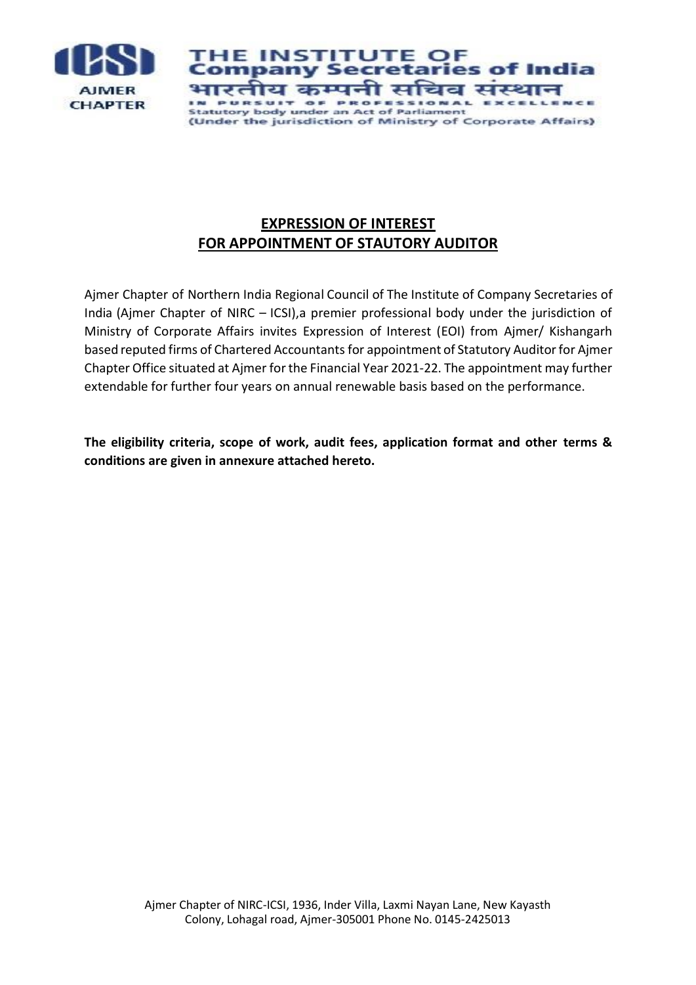

**HE INSTITUTE** OF ompany Secr es of ndia etar भारतीय कम्पनी सचिव संस IN PURSUIT OF PROFESSIONAL **EXCELLENCE Statutory body under an Act of Parliament** (Under the jurisdiction of Ministry of Corporate Affairs)

# **EXPRESSION OF INTEREST FOR APPOINTMENT OF STAUTORY AUDITOR**

Ajmer Chapter of Northern India Regional Council of The Institute of Company Secretaries of India (Ajmer Chapter of NIRC – ICSI),a premier professional body under the jurisdiction of Ministry of Corporate Affairs invites Expression of Interest (EOI) from Ajmer/ Kishangarh based reputed firms of Chartered Accountantsfor appointment of Statutory Auditor for Ajmer Chapter Office situated at Ajmer for the Financial Year 2021-22. The appointment may further extendable for further four years on annual renewable basis based on the performance.

**The eligibility criteria, scope of work, audit fees, application format and other terms & conditions are given in annexure attached hereto.**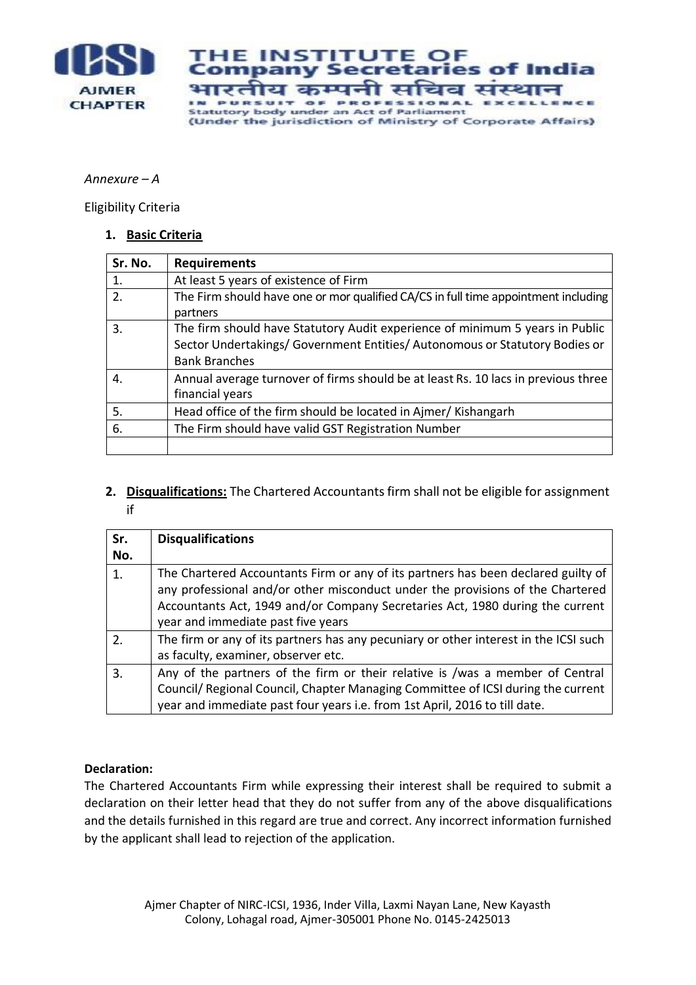

**HE INSTITUTE** OF ndia ompany S es of  $$ etar भारती य कम्पनी सचिव संस IN PURSUIT OF PROFESSIONAL EXCELL **SNCE Statutory body under an Act of Parliament** (Under the jurisdiction of Ministry of Corporate Affairs)

#### *Annexure – A*

Eligibility Criteria

#### **1. Basic Criteria**

| Sr. No. | <b>Requirements</b>                                                                                                                                                                 |
|---------|-------------------------------------------------------------------------------------------------------------------------------------------------------------------------------------|
| 1.      | At least 5 years of existence of Firm                                                                                                                                               |
| 2.      | The Firm should have one or mor qualified CA/CS in full time appointment including<br>partners                                                                                      |
| 3.      | The firm should have Statutory Audit experience of minimum 5 years in Public<br>Sector Undertakings/ Government Entities/ Autonomous or Statutory Bodies or<br><b>Bank Branches</b> |
| 4.      | Annual average turnover of firms should be at least Rs. 10 lacs in previous three<br>financial years                                                                                |
| 5.      | Head office of the firm should be located in Ajmer/Kishangarh                                                                                                                       |
| 6.      | The Firm should have valid GST Registration Number                                                                                                                                  |
|         |                                                                                                                                                                                     |

### 2. **Disqualifications:** The Chartered Accountants firm shall not be eligible for assignment if

| Sr.<br>No. | <b>Disqualifications</b>                                                                                                                                                                                                                                                                   |
|------------|--------------------------------------------------------------------------------------------------------------------------------------------------------------------------------------------------------------------------------------------------------------------------------------------|
| 1.         | The Chartered Accountants Firm or any of its partners has been declared guilty of<br>any professional and/or other misconduct under the provisions of the Chartered<br>Accountants Act, 1949 and/or Company Secretaries Act, 1980 during the current<br>year and immediate past five years |
| 2.         | The firm or any of its partners has any pecuniary or other interest in the ICSI such<br>as faculty, examiner, observer etc.                                                                                                                                                                |
| 3.         | Any of the partners of the firm or their relative is /was a member of Central<br>Council/ Regional Council, Chapter Managing Committee of ICSI during the current<br>year and immediate past four years i.e. from 1st April, 2016 to till date.                                            |

### **Declaration:**

The Chartered Accountants Firm while expressing their interest shall be required to submit a declaration on their letter head that they do not suffer from any of the above disqualifications and the details furnished in this regard are true and correct. Any incorrect information furnished by the applicant shall lead to rejection of the application.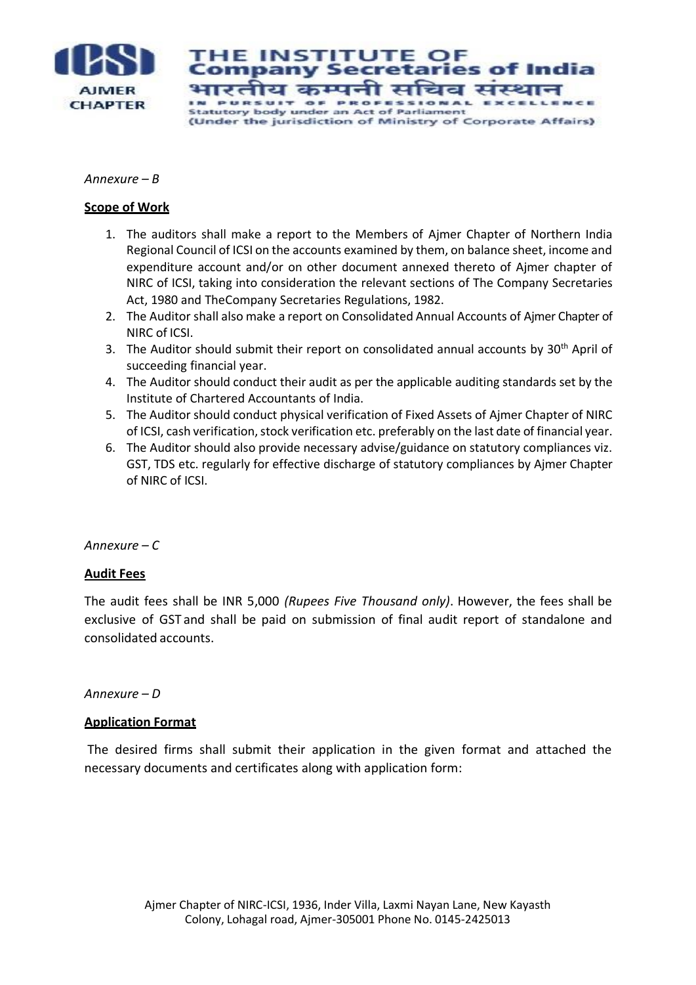

**HE INSTITUTE** ompany Secr es ot भारतीय कम्पनी सचिव संस IN PURSUIT OF PROFESSIONAL **HMCHI Statutory body under an Act of Parliament** (Under the jurisdiction of Ministry of Corporate Affairs)

#### *Annexure – B*

#### **Scope of Work**

- 1. The auditors shall make a report to the Members of Ajmer Chapter of Northern India Regional Council of ICSI on the accounts examined by them, on balance sheet, income and expenditure account and/or on other document annexed thereto of Ajmer chapter of NIRC of ICSI, taking into consideration the relevant sections of The Company Secretaries Act, 1980 and TheCompany Secretaries Regulations, 1982.
- 2. The Auditor shall also make a report on Consolidated Annual Accounts of Ajmer Chapter of NIRC of ICSI.
- 3. The Auditor should submit their report on consolidated annual accounts by  $30<sup>th</sup>$  April of succeeding financial year.
- 4. The Auditor should conduct their audit as per the applicable auditing standards set by the Institute of Chartered Accountants of India.
- 5. The Auditor should conduct physical verification of Fixed Assets of Ajmer Chapter of NIRC of ICSI, cash verification, stock verification etc. preferably on the last date of financial year.
- 6. The Auditor should also provide necessary advise/guidance on statutory compliances viz. GST, TDS etc. regularly for effective discharge of statutory compliances by Ajmer Chapter of NIRC of ICSI.

### *Annexure – C*

### **Audit Fees**

The audit fees shall be INR 5,000 *(Rupees Five Thousand only)*. However, the fees shall be exclusive of GST and shall be paid on submission of final audit report of standalone and consolidated accounts.

#### *Annexure – D*

### **Application Format**

The desired firms shall submit their application in the given format and attached the necessary documents and certificates along with application form: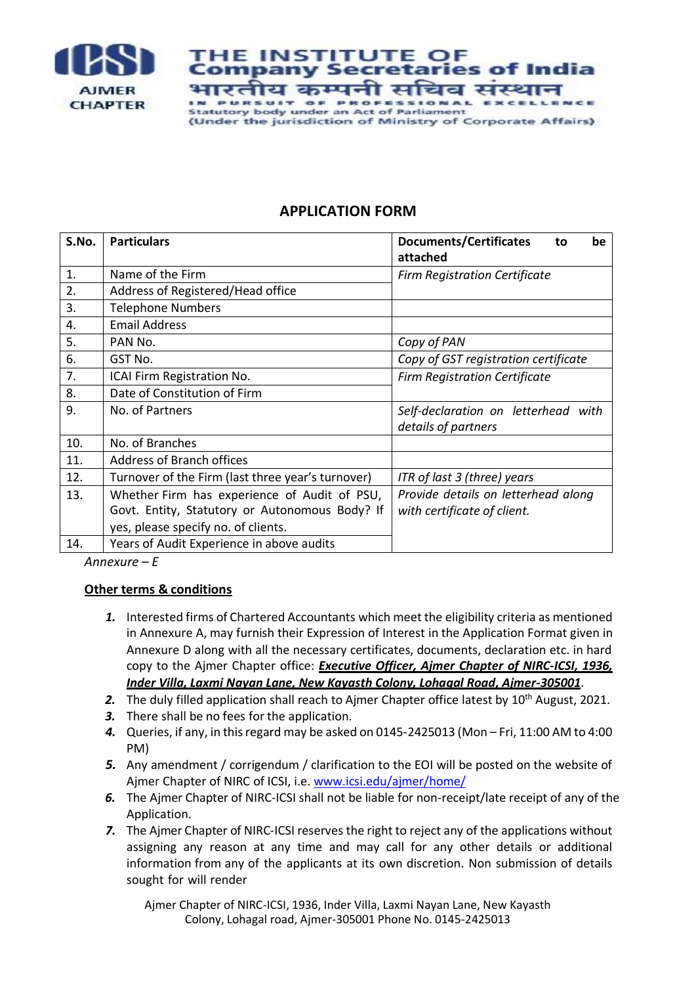

**HE INSTITUTE** ompany Secr भारतीय कम्पनी सचिव संर IN PURSUIT OF PROFESSIONAL **HNCH Statutory body under an Act of Parliament** (Under the jurisdiction of Ministry of Corporate Affairs)

## **APPLICATION FORM**

| S.No. | <b>Particulars</b>                                | <b>Documents/Certificates</b><br>be<br>to<br>attached |
|-------|---------------------------------------------------|-------------------------------------------------------|
| 1.    | Name of the Firm                                  | <b>Firm Registration Certificate</b>                  |
| 2.    | Address of Registered/Head office                 |                                                       |
| 3.    | <b>Telephone Numbers</b>                          |                                                       |
| 4.    | <b>Email Address</b>                              |                                                       |
| 5.    | PAN No.                                           | Copy of PAN                                           |
| 6.    | GST No.                                           | Copy of GST registration certificate                  |
| 7.    | ICAI Firm Registration No.                        | <b>Firm Registration Certificate</b>                  |
| 8.    | Date of Constitution of Firm                      |                                                       |
| 9.    | No. of Partners                                   | Self-declaration on letterhead with                   |
|       |                                                   | details of partners                                   |
| 10.   | No. of Branches                                   |                                                       |
| 11.   | Address of Branch offices                         |                                                       |
| 12.   | Turnover of the Firm (last three year's turnover) | ITR of last 3 (three) years                           |
| 13.   | Whether Firm has experience of Audit of PSU,      | Provide details on letterhead along                   |
|       | Govt. Entity, Statutory or Autonomous Body? If    | with certificate of client.                           |
|       | yes, please specify no. of clients.               |                                                       |
| 14.   | Years of Audit Experience in above audits         |                                                       |

*Annexure – E*

## **Other terms & conditions**

- *1.* Interested firms of Chartered Accountants which meet the eligibility criteria as mentioned in Annexure A, may furnish their Expression of Interest in the Application Format given in Annexure D along with all the necessary certificates, documents, declaration etc. in hard copy to the Ajmer Chapter office: *Executive Officer, Ajmer Chapter of NIRC-ICSI, 1936, Inder Villa, Laxmi Nayan Lane, New Kayasth Colony, Lohagal Road, Ajmer-305001*.
- 2. The duly filled application shall reach to Ajmer Chapter office latest by 10<sup>th</sup> August, 2021.
- *3.* There shall be no fees for the application.
- *4.* Queries, if any, in this regard may be asked on 0145-2425013 (Mon Fri, 11:00 AM to 4:00 PM)
- *5.* Any amendment / corrigendum / clarification to the EOI will be posted on the website of Ajmer Chapter of NIRC of ICSI, i.e. [www.icsi.edu/ajmer/home/](http://www.icsi.edu/ajmer/home/)
- *6.* The Ajmer Chapter of NIRC-ICSI shall not be liable for non-receipt/late receipt of any of the Application.
- **7.** The Ajmer Chapter of NIRC-ICSI reserves the right to reject any of the applications without assigning any reason at any time and may call for any other details or additional information from any of the applicants at its own discretion. Non submission of details sought for will render

Ajmer Chapter of NIRC-ICSI, 1936, Inder Villa, Laxmi Nayan Lane, New Kayasth Colony, Lohagal road, Ajmer-305001 Phone No. 0145-2425013